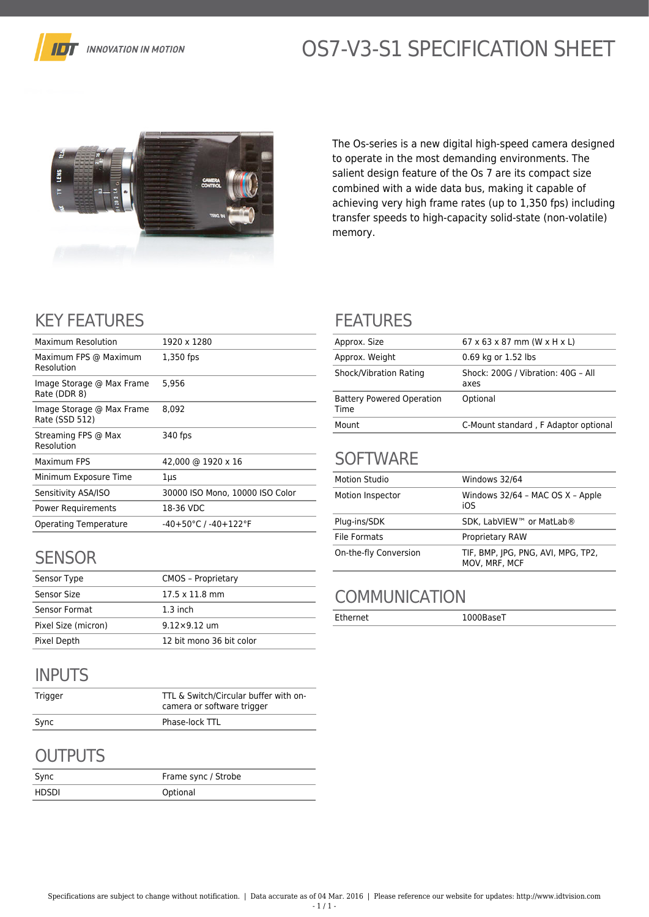

# OS7-V3-S1 SPECIFICATION SHEET



The Os-series is a new digital high-speed camera designed to operate in the most demanding environments. The salient design feature of the Os 7 are its compact size combined with a wide data bus, making it capable of achieving very high frame rates (up to 1,350 fps) including transfer speeds to high-capacity solid-state (non-volatile) memory.

# KEY FEATURES

| Maximum Resolution                          | 1920 x 1280                     |
|---------------------------------------------|---------------------------------|
| Maximum FPS @ Maximum<br>Resolution         | 1,350 fps                       |
| Image Storage @ Max Frame<br>Rate (DDR 8)   | 5,956                           |
| Image Storage @ Max Frame<br>Rate (SSD 512) | 8.092                           |
| Streaming FPS @ Max<br>Resolution           | 340 fps                         |
| Maximum FPS                                 | 42,000 @ 1920 x 16              |
| Minimum Exposure Time                       | $1 \mu s$                       |
| Sensitivity ASA/ISO                         | 30000 ISO Mono, 10000 ISO Color |
| <b>Power Requirements</b>                   | 18-36 VDC                       |
| <b>Operating Temperature</b>                | $-40+50$ °C / $-40+122$ °F      |
|                                             |                                 |

## **SENSOR**

| Sensor Type         | <b>CMOS - Proprietary</b>     |
|---------------------|-------------------------------|
| Sensor Size         | $17.5 \times 11.8 \text{ mm}$ |
| Sensor Format       | $1.3$ inch                    |
| Pixel Size (micron) | $9.12 \times 9.12$ um         |
| Pixel Depth         | 12 bit mono 36 bit color      |

# INPUTS

| Trigger | TTL & Switch/Circular buffer with on-<br>camera or software trigger |
|---------|---------------------------------------------------------------------|
| Sync    | Phase-lock TTL                                                      |

## **OUTPUTS**

| Sync  | Frame sync / Strobe |
|-------|---------------------|
| HDSDI | Optional            |

#### FEATURES

| Approx. Size                             | $67 \times 63 \times 87$ mm (W $\times$ H $\times$ L) |
|------------------------------------------|-------------------------------------------------------|
| Approx. Weight                           | 0.69 kg or 1.52 lbs                                   |
| Shock/Vibration Rating                   | Shock: 200G / Vibration: 40G - All<br>axes            |
| <b>Battery Powered Operation</b><br>Time | Optional                                              |
| Mount                                    | C-Mount standard, F Adaptor optional                  |

#### **SOFTWARE**

| <b>Motion Studio</b>  | Windows 32/64                                       |
|-----------------------|-----------------------------------------------------|
| Motion Inspector      | Windows 32/64 - MAC OS X - Apple<br>iOS             |
| Plug-ins/SDK          | SDK. LabVIEW™ or MatLab®                            |
| File Formats          | <b>Proprietary RAW</b>                              |
| On-the-fly Conversion | TIF, BMP, JPG, PNG, AVI, MPG, TP2,<br>MOV, MRF, MCF |

## **COMMUNICATION**

Ethernet 1000BaseT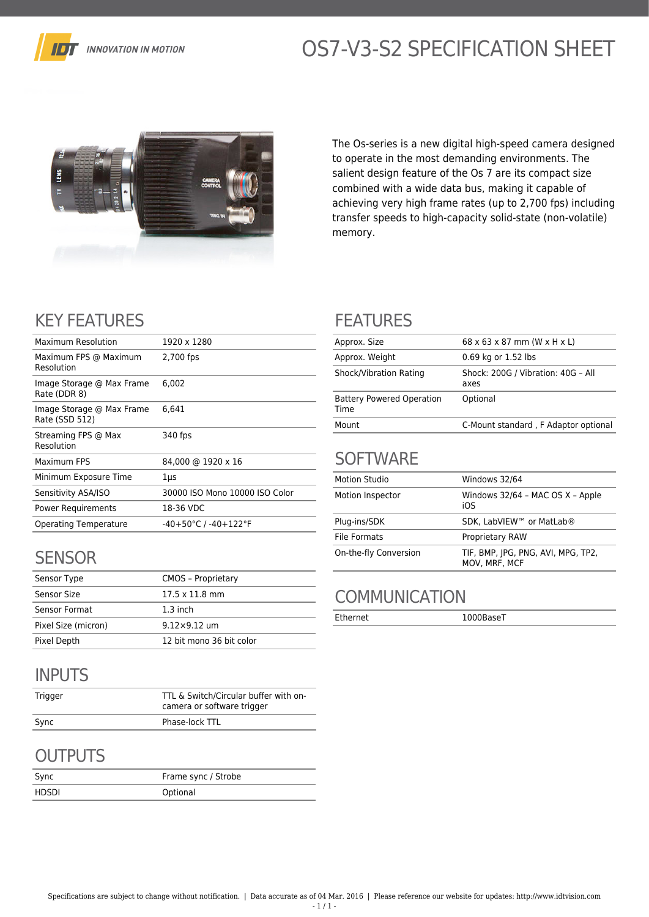

# OS7-V3-S2 SPECIFICATION SHEET



The Os-series is a new digital high-speed camera designed to operate in the most demanding environments. The salient design feature of the Os 7 are its compact size combined with a wide data bus, making it capable of achieving very high frame rates (up to 2,700 fps) including transfer speeds to high-capacity solid-state (non-volatile) memory.

# KEY FEATURES

| Maximum Resolution                          | 1920 x 1280                              |
|---------------------------------------------|------------------------------------------|
| Maximum FPS @ Maximum<br>Resolution         | 2,700 fps                                |
| Image Storage @ Max Frame<br>Rate (DDR 8)   | 6.002                                    |
| Image Storage @ Max Frame<br>Rate (SSD 512) | 6.641                                    |
| Streaming FPS @ Max<br>Resolution           | 340 fps                                  |
| Maximum FPS                                 | 84,000 @ 1920 x 16                       |
| Minimum Exposure Time                       | 1µs                                      |
| Sensitivity ASA/ISO                         | 30000 ISO Mono 10000 ISO Color           |
| Power Requirements                          | 18-36 VDC                                |
| Operating Temperature                       | $-40+50^{\circ}$ C / $-40+122^{\circ}$ F |
|                                             |                                          |

## **SENSOR**

| Sensor Type         | <b>CMOS - Proprietary</b>     |
|---------------------|-------------------------------|
| Sensor Size         | $17.5 \times 11.8 \text{ mm}$ |
| Sensor Format       | $1.3$ inch                    |
| Pixel Size (micron) | $9.12 \times 9.12$ um         |
| Pixel Depth         | 12 bit mono 36 bit color      |

# INPUTS

| Trigger | TTL & Switch/Circular buffer with on-<br>camera or software trigger |
|---------|---------------------------------------------------------------------|
| Sync    | Phase-lock TTL                                                      |

# **OUTPUTS**

| Sync  | Frame sync / Strobe |
|-------|---------------------|
| HDSDI | Optional            |

#### FEATURES

| Approx. Size                             | $68 \times 63 \times 87$ mm (W $\times$ H $\times$ L) |
|------------------------------------------|-------------------------------------------------------|
| Approx. Weight                           | 0.69 kg or 1.52 lbs                                   |
| Shock/Vibration Rating                   | Shock: 200G / Vibration: 40G - All<br>axes            |
| <b>Battery Powered Operation</b><br>Time | Optional                                              |
| Mount                                    | C-Mount standard, F Adaptor optional                  |

#### **SOFTWARE**

| <b>Motion Studio</b>  | Windows 32/64                                       |
|-----------------------|-----------------------------------------------------|
| Motion Inspector      | Windows 32/64 - MAC OS X - Apple<br>iOS             |
| Plug-ins/SDK          | SDK. LabVIEW™ or MatLab®                            |
| File Formats          | <b>Proprietary RAW</b>                              |
| On-the-fly Conversion | TIF, BMP, JPG, PNG, AVI, MPG, TP2,<br>MOV, MRF, MCF |

## **COMMUNICATION**

Ethernet 1000BaseT